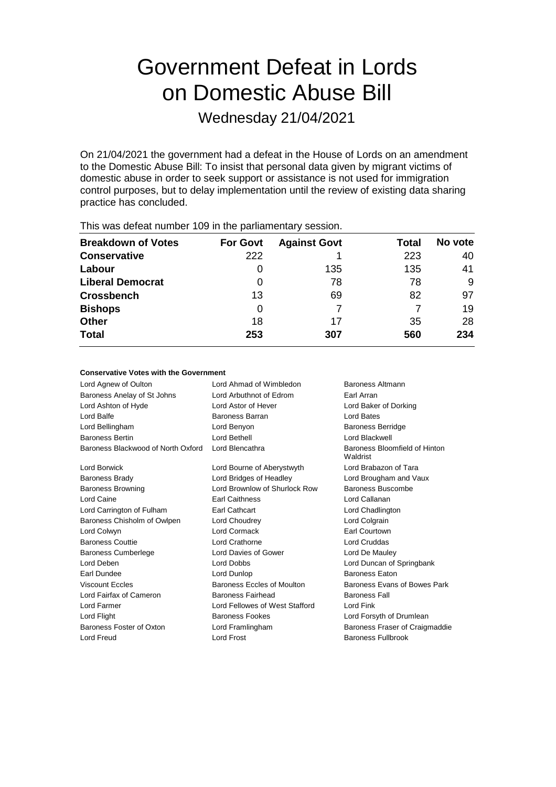# Government Defeat in Lords on Domestic Abuse Bill

Wednesday 21/04/2021

On 21/04/2021 the government had a defeat in the House of Lords on an amendment to the Domestic Abuse Bill: To insist that personal data given by migrant victims of domestic abuse in order to seek support or assistance is not used for immigration control purposes, but to delay implementation until the review of existing data sharing practice has concluded.

| $1.1.00$ and the contract $1.00$ and $1.00$ and $1.00$ provided to $1.00$ and $1.00$ |                 |                     |       |         |  |
|--------------------------------------------------------------------------------------|-----------------|---------------------|-------|---------|--|
| <b>Breakdown of Votes</b>                                                            | <b>For Govt</b> | <b>Against Govt</b> | Total | No vote |  |
| <b>Conservative</b>                                                                  | 222             |                     | 223   | 40      |  |
| Labour                                                                               | O               | 135                 | 135   | 41      |  |
| <b>Liberal Democrat</b>                                                              | 0               | 78                  | 78    | 9       |  |
| <b>Crossbench</b>                                                                    | 13              | 69                  | 82    | 97      |  |
| <b>Bishops</b>                                                                       | 0               |                     |       | 19      |  |
| <b>Other</b>                                                                         | 18              | 17                  | 35    | 28      |  |
| <b>Total</b>                                                                         | 253             | 307                 | 560   | 234     |  |
|                                                                                      |                 |                     |       |         |  |

This was defeat number 109 in the parliamentary session.

### **Conservative Votes with the Government**

| Lord Agnew of Oulton               | Lord Ahmad of Wimbledon        | Baroness Altmann                          |
|------------------------------------|--------------------------------|-------------------------------------------|
| Baroness Anelay of St Johns        | Lord Arbuthnot of Edrom        | Earl Arran                                |
| Lord Ashton of Hyde                | Lord Astor of Hever            | Lord Baker of Dorking                     |
| Lord Balfe                         | Baroness Barran                | Lord Bates                                |
| Lord Bellingham                    | Lord Benyon                    | <b>Baroness Berridge</b>                  |
| <b>Baroness Bertin</b>             | Lord Bethell                   | Lord Blackwell                            |
| Baroness Blackwood of North Oxford | Lord Blencathra                | Baroness Bloomfield of Hinton<br>Waldrist |
| <b>Lord Borwick</b>                | Lord Bourne of Aberystwyth     | Lord Brabazon of Tara                     |
| <b>Baroness Brady</b>              | Lord Bridges of Headley        | Lord Brougham and Vaux                    |
| <b>Baroness Browning</b>           | Lord Brownlow of Shurlock Row  | Baroness Buscombe                         |
| Lord Caine                         | <b>Earl Caithness</b>          | Lord Callanan                             |
| Lord Carrington of Fulham          | <b>Earl Cathcart</b>           | Lord Chadlington                          |
| Baroness Chisholm of Owlpen        | Lord Choudrey                  | Lord Colgrain                             |
| Lord Colwyn                        | Lord Cormack                   | <b>Earl Courtown</b>                      |
| <b>Baroness Couttie</b>            | Lord Crathorne                 | Lord Cruddas                              |
| <b>Baroness Cumberlege</b>         | Lord Davies of Gower           | Lord De Mauley                            |
| Lord Deben                         | Lord Dobbs                     | Lord Duncan of Springbank                 |
| Earl Dundee                        | Lord Dunlop                    | <b>Baroness Eaton</b>                     |
| <b>Viscount Eccles</b>             | Baroness Eccles of Moulton     | Baroness Evans of Bowes Park              |
| Lord Fairfax of Cameron            | Baroness Fairhead              | <b>Baroness Fall</b>                      |
| Lord Farmer                        | Lord Fellowes of West Stafford | Lord Fink                                 |
| Lord Flight                        | <b>Baroness Fookes</b>         | Lord Forsyth of Drumlean                  |
| Baroness Foster of Oxton           | Lord Framlingham               | Baroness Fraser of Craigmaddie            |
| <b>Lord Freud</b>                  | <b>Lord Frost</b>              | <b>Baroness Fullbrook</b>                 |
|                                    |                                |                                           |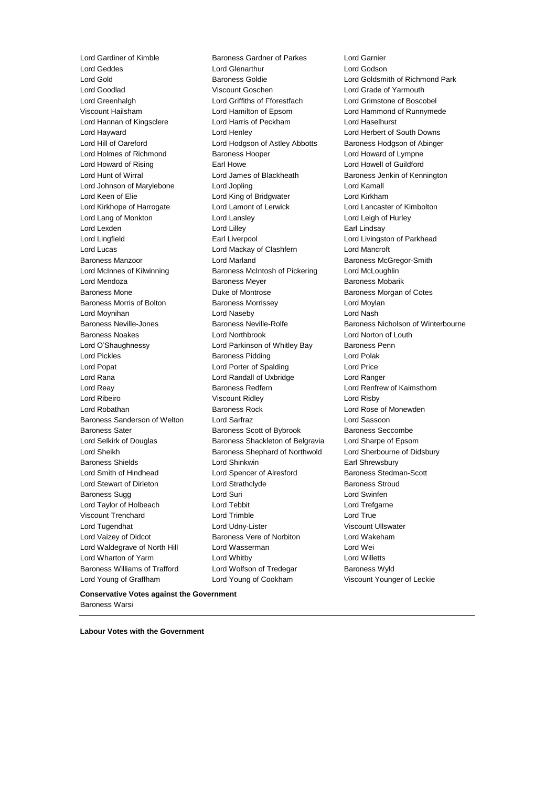Lord Gardiner of Kimble Baroness Gardner of Parkes Lord Garnier Lord Young of Graffham Lord Young of Cookham Viscount Younger of Leckie

Lord Geddes Lord Glenarthur Lord Godson Lord Goodlad Viscount Goschen Lord Grade of Yarmouth Lord Greenhalgh Lord Griffiths of Fforestfach Lord Grimstone of Boscobel Viscount Hailsham Lord Hamilton of Epsom Lord Hammond of Runnymede Lord Hannan of Kingsclere Lord Harris of Peckham Lord Haselhurst Lord Hayward **Lord Henley** Lord Henley Lord Herbert of South Downs<br>Lord Hill of Oareford **Lord Hodgson of Astley Abbotts** Baroness Hodgson of Abinge Lord Hodgson of Astley Abbotts Baroness Hodgson of Abinger Lord Holmes of Richmond **Baroness Hooper Lord Howard of Lympne** Lord Howard of Rising **Earl Howe Lord Howell of Guildford** Earl Howe **Lord Howell** of Guildford Lord Hunt of Wirral **Lord James of Blackheath** Baroness Jenkin of Kennington Lord Johnson of Marylebone Lord Jopling Lord Kamall Lord Keen of Elie Lord King of Bridgwater Lord Kirkham Lord Kirkhope of Harrogate Lord Lamont of Lerwick Lord Lancaster of Kimbolton Lord Lang of Monkton Lord Lansley Lord Leigh of Hurley Lord Lexden **Lord Lindsay** Lord Lilley **Communist Communist Communist Communist Communist Communist Communist Communist Communist Communist Communist Communist Communist Communist Communist Communist Communist Communist Co** Lord Lingfield **Earl Liverpool** Earl Liverpool **Lord Livingston of Parkhead** Lord Lucas Lord Mackay of Clashfern Lord Mancroft Baroness Manzoor Lord Marland Baroness McGregor-Smith Lord McInnes of Kilwinning Baroness McIntosh of Pickering Lord McLoughlin Lord Mendoza **Baroness Meyer** Baroness Meyer Baroness Mobarik Baroness Mone **Baroness Montrose** Baroness Morgan of Cotes Baroness Morris of Bolton **Baroness Morrissey Baroness Morrissey** Lord Moylan Lord Moynihan Lord Naseby Lord Nash Baroness Noakes Lord Northbrook Lord Norton of Louth Lord O'Shaughnessy **Lord Parkinson of Whitley Bay** Baroness Penn Lord Pickles **Baroness Pidding Lord Polak** Lord Polak Lord Popat Lord Porter of Spalding Lord Price Lord Rana Lord Randall of Uxbridge Lord Ranger Lord Reay Baroness Redfern Lord Renfrew of Kaimsthorn Lord Ribeiro **Viscount Ridley** Cord Risby **Lord Risby** Lord Robathan Baroness Rock Lord Rose of Monewden Baroness Sanderson of Welton Lord Sarfraz Lord Sassoon Baroness Sater **Baroness Scott of Bybrook** Baroness Seccombe Lord Selkirk of Douglas **Baroness Shackleton of Belgravia** Lord Sharpe of Epsom Lord Sheikh **Baroness Shephard of Northwold** Lord Sherbourne of Didsbury Baroness Shields **Lord Shinkwin** Earl Shrewsbury Lord Smith of Hindhead Lord Spencer of Alresford Baroness Stedman-Scott Lord Stewart of Dirleton **Lord Strathclyde** Baroness Stroud Baroness Sugg **Communist Communist Communist Communist Communist Communist Communist Communist Communist Communist Communist Communist Communist Communist Communist Communist Communist Communist Communist Communist Communi** Lord Taylor of Holbeach Lord Tebbit Lord Trefgarne Viscount Trenchard Lord Trimble Lord True Lord Tugendhat **Lord Udny-Lister** Corresponding Viscount Ullswater Lord Vaizey of Didcot **Baroness Vere of Norbiton** Lord Wakeham Lord Waldegrave of North Hill Lord Wasserman Lord Wei Lord Wharton of Yarm Lord Whitby Lord Willetts Baroness Williams of Trafford Lord Wolfson of Tredegar Baroness Wyld

Lord Gold Baroness Goldie Lord Goldsmith of Richmond Park Baroness Neville-Jones Baroness Neville-Rolfe Baroness Nicholson of Winterbourne

**Conservative Votes against the Government** Baroness Warsi

**Labour Votes with the Government**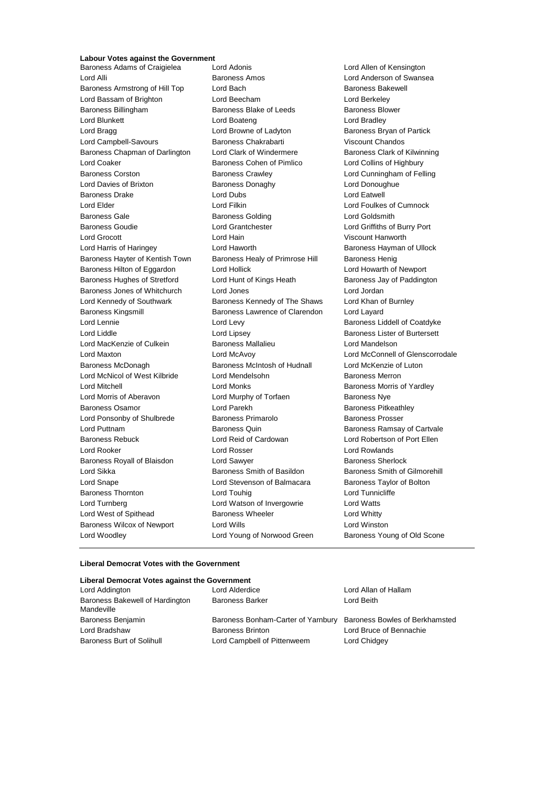# **Labour Votes against the Government**

Baroness Adams of Craigielea Lord Adonis Lord Allen of Kensington Lord Alli Baroness Amos Lord Anderson of Swansea Baroness Armstrong of Hill Top Lord Bach Baroness Bakewell Baroness Bakewell Lord Bassam of Brighton Lord Beecham Lord Berkeley Baroness Billingham **Baroness Blake of Leeds** Baroness Blower Lord Blunkett **Lord Boateng** Lord Boateng Lord Bradley Lord Bragg **Lord Browne of Ladyton** Baroness Bryan of Partick Lord Campbell-Savours Baroness Chakrabarti Viscount Chandos Baroness Chapman of Darlington Lord Clark of Windermere Baroness Clark of Kilwinning Lord Coaker Baroness Cohen of Pimlico Lord Collins of Highbury Baroness Corston **Baroness Crawley Baroness Crawley** Lord Cunningham of Felling Lord Davies of Brixton **Baroness Donaghy Lord Donoughue** Lord Donoughue Baroness Drake Lord Dubs Lord Eatwell Lord Elder Lord Filkin Lord Foulkes of Cumnock Baroness Gale **Baroness Golding** Baroness Golding **Lord Goldsmith** Baroness Goudie Lord Grantchester Lord Griffiths of Burry Port Lord Grocott Lord Hain Viscount Hanworth Lord Harris of Haringey **Lord Haworth Baroness Hayman of Ullock** Baroness Hayman of Ullock Baroness Hayter of Kentish Town Baroness Healy of Primrose Hill Baroness Henig Baroness Hilton of Eggardon Lord Hollick Lord Howarth of Newport Baroness Hughes of Stretford Lord Hunt of Kings Heath Baroness Jay of Paddington Baroness Jones of Whitchurch Lord Jones Lord Jordan Lord Jordan Lord Kennedy of Southwark Baroness Kennedy of The Shaws Lord Khan of Burnley Baroness Kingsmill **Baroness Lawrence of Clarendon** Lord Layard Lord Lennie **Lord Levy Lord Levy Baroness Liddell of Coatdyke** Lord Liddle Lord Lipsey Baroness Lister of Burtersett Lord MacKenzie of Culkein Baroness Mallalieu Lord Mandelson Lord Maxton Lord McAvoy Lord McConnell of Glenscorrodale Baroness McDonagh Baroness McIntosh of Hudnall Lord McKenzie of Luton Lord McNicol of West Kilbride Lord Mendelsohn Baroness Merron Lord Mitchell Lord Monks Baroness Morris of Yardley Lord Morris of Aberavon Lord Murphy of Torfaen Baroness Nye Baroness Osamor **Baroness Community** Lord Parekh **Baroness Pitkeathley** Lord Ponsonby of Shulbrede Baroness Primarolo Baroness Prosser Lord Puttnam Baroness Quin Baroness Ramsay of Cartvale Baroness Rebuck Lord Reid of Cardowan Lord Robertson of Port Ellen Lord Rooker Lord Rosser Lord Rowlands Baroness Royall of Blaisdon Lord Sawyer **Baroness Sherlock** Baroness Sherlock Lord Sikka **Baroness Smith of Basildon** Baroness Smith of Gilmorehill Lord Snape **Lord Stevenson of Balmacara** Baroness Taylor of Bolton Baroness Thornton **Lord Touhig Lord Touhig Lord Lord Tunnicliffe** Lord Turnberg Lord Watson of Invergowrie Lord Watts Lord West of Spithead Baroness Wheeler **Baroness Wheeler** Lord Whitty Baroness Wilcox of Newport Lord Wills Lord Winston Lord Woodley Lord Young of Norwood Green Baroness Young of Old Scone

#### **Liberal Democrat Votes with the Government**

| Liberal Democrat Votes against the Government |                                                                   |                         |
|-----------------------------------------------|-------------------------------------------------------------------|-------------------------|
| Lord Addington                                | Lord Alderdice                                                    | Lord Allan of Hallam    |
| Baroness Bakewell of Hardington<br>Mandeville | <b>Baroness Barker</b>                                            | Lord Beith              |
| Baroness Benjamin                             | Baroness Bonham-Carter of Yarnbury Baroness Bowles of Berkhamsted |                         |
| Lord Bradshaw                                 | <b>Baroness Brinton</b>                                           | Lord Bruce of Bennachie |
| Baroness Burt of Solihull                     | Lord Campbell of Pittenweem                                       | Lord Chidgey            |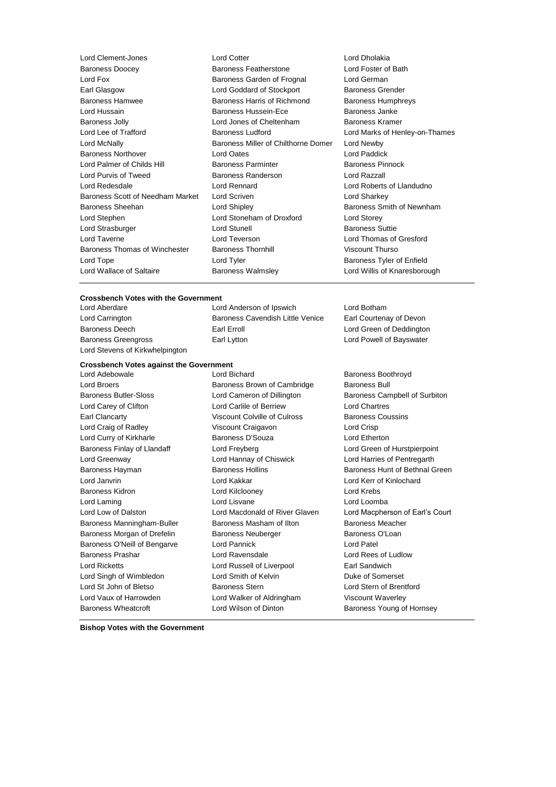Lord Clement-Jones Lord Cotter Lord Dholakia Baroness Doocey Baroness Featherstone Lord Foster of Bath Lord Fox Baroness Garden of Frognal Lord German Earl Glasgow **Lord Goddard of Stockport** Baroness Grender Baroness Hamwee **Baroness Harris of Richmond** Baroness Humphreys Lord Hussain **Baroness Hussein-Ece** Baroness Janke Baroness Jolly Lord Jones of Cheltenham Baroness Kramer Lord Lee of Trafford **Baroness Ludford** Lord Marks of Henley-on-Thames Lord McNally Baroness Miller of Chilthorne Domer Lord Newby Baroness Northover Lord Oates Lord Paddick Lord Palmer of Childs Hill Baroness Parminter Baroness Pinnock Lord Purvis of Tweed Baroness Randerson Lord Razzall Lord Redesdale Lord Rennard Lord Roberts of Llandudno Baroness Scott of Needham Market Lord Scriven Lord Charles Lord Sharkey Baroness Sheehan **Baroness** Sheehan Lord Shipley **Baroness Smith of Newnham** Lord Stephen Lord Stoneham of Droxford Lord Storey Lord Strasburger **Lord Stunell** Baroness Suttie Lord Taverne Lord Teverson Lord Thomas of Gresford Baroness Thomas of Winchester Baroness Thornhill Viscount Thurso Lord Tope Lord Tyler Communist Communist Communist Communist Communist Communist Communist Communist Communist<br>
Lord Wallace of Saltaire Communist Caroness Walmsley Communist Cord Willis of Knaresboro Baroness Walmsley **Example 1** Lord Willis of Knaresborough

#### **Crossbench Votes with the Government**

Lord Stevens of Kirkwhelpington

#### **Crossbench Votes against the Government**

Lord Adebowale **Lord Bichard** Baroness Boothroyd **Baroness** Boothroyd Lord Broers **Baroness Brown of Cambridge** Baroness Bull Baroness Butler-Sloss Lord Cameron of Dillington Baroness Campbell of Surbiton Lord Carey of Clifton Lord Carlile of Berriew Lord Chartres Earl Clancarty Viscount Colville of Culross Baroness Coussins Lord Craig of Radley **Viscount Craigavon** Lord Crisp Lord Curry of Kirkharle Baroness D'Souza Lord Etherton Baroness Finlay of Llandaff Lord Freyberg Lord Green of Hurstpierpoint Lord Greenway Lord Hannay of Chiswick Lord Harries of Pentregarth Baroness Hayman **Baroness Hollins** Baroness Hollins **Baroness Hunt of Bethnal Green** Lord Janvrin Lord Kakkar Lord Kerr of Kinlochard Baroness Kidron Lord Kilclooney Lord Krebs Lord Laming Lord Lisvane Lord Loomba Lord Low of Dalston Lord Macdonald of River Glaven Lord Macpherson of Earl's Court Baroness Manningham-Buller Baroness Masham of Ilton Baroness Meacher Baroness Morgan of Drefelin Baroness Neuberger Baroness O'Loan Baroness O'Neill of Bengarve Lord Pannick Cord Patel Baroness Prashar Lord Ravensdale Lord Rees of Ludlow Lord Ricketts Lord Russell of Liverpool Earl Sandwich Lord Singh of Wimbledon Lord Smith of Kelvin Duke of Somerset Lord St John of Bletso Baroness Stern Lord Stern of Brentford Lord Vaux of Harrowden Lord Walker of Aldringham Viscount Waverley Baroness Wheatcroft **Lord Wilson of Dinton** Baroness Young of Hornsey

Lord Aberdare Lord Anderson of Ipswich Lord Botham Lord Carrington **Baroness Cavendish Little Venice** Earl Courtenay of Devon Baroness Deech **Earl Erroll** Earl Erroll **Earl Erroll** Lord Green of Deddington Baroness Greengross **Earl Lytton** Earl Lord Powell of Bayswater

**Bishop Votes with the Government**